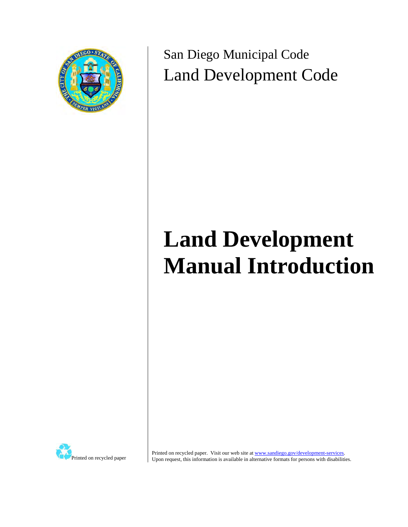

San Diego Municipal Code Land Development Code

# **Land Development Manual Introduction**



Printed on recycled paper. Visit our web site at www.sandiego.gov/development-services. Upon request, this information is available in alternative formats for persons with disabilities.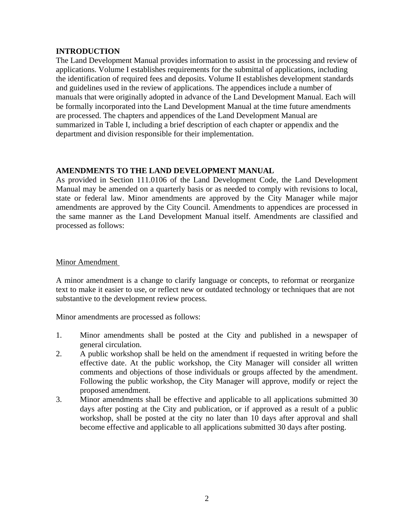# **INTRODUCTION**

The Land Development Manual provides information to assist in the processing and review of applications. Volume I establishes requirements for the submittal of applications, including the identification of required fees and deposits. Volume II establishes development standards and guidelines used in the review of applications. The appendices include a number of manuals that were originally adopted in advance of the Land Development Manual. Each will be formally incorporated into the Land Development Manual at the time future amendments are processed. The chapters and appendices of the Land Development Manual are summarized in Table I, including a brief description of each chapter or appendix and the department and division responsible for their implementation.

## **AMENDMENTS TO THE LAND DEVELOPMENT MANUAL**

As provided in Section 111.0106 of the Land Development Code, the Land Development Manual may be amended on a quarterly basis or as needed to comply with revisions to local, state or federal law. Minor amendments are approved by the City Manager while major amendments are approved by the City Council. Amendments to appendices are processed in the same manner as the Land Development Manual itself. Amendments are classified and processed as follows:

### Minor Amendment

A minor amendment is a change to clarify language or concepts, to reformat or reorganize text to make it easier to use, or reflect new or outdated technology or techniques that are not substantive to the development review process.

Minor amendments are processed as follows:

- 1. Minor amendments shall be posted at the City and published in a newspaper of general circulation.
- 2. A public workshop shall be held on the amendment if requested in writing before the effective date. At the public workshop, the City Manager will consider all written comments and objections of those individuals or groups affected by the amendment. Following the public workshop, the City Manager will approve, modify or reject the proposed amendment.
- 3. Minor amendments shall be effective and applicable to all applications submitted 30 days after posting at the City and publication, or if approved as a result of a public workshop, shall be posted at the city no later than 10 days after approval and shall become effective and applicable to all applications submitted 30 days after posting.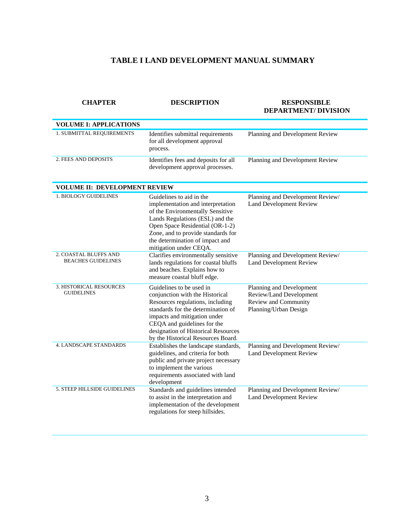# **TABLE I LAND DEVELOPMENT MANUAL SUMMARY**

| <b>CHAPTER</b>                                     | <b>DESCRIPTION</b>                                                                                                                                                                                                                                                                | <b>RESPONSIBLE</b><br><b>DEPARTMENT/ DIVISION</b>                                                    |
|----------------------------------------------------|-----------------------------------------------------------------------------------------------------------------------------------------------------------------------------------------------------------------------------------------------------------------------------------|------------------------------------------------------------------------------------------------------|
| <b>VOLUME I: APPLICATIONS</b>                      |                                                                                                                                                                                                                                                                                   |                                                                                                      |
| 1. SUBMITTAL REQUIREMENTS                          | Identifies submittal requirements<br>for all development approval<br>process.                                                                                                                                                                                                     | Planning and Development Review                                                                      |
| 2. FEES AND DEPOSITS                               | Identifies fees and deposits for all<br>development approval processes.                                                                                                                                                                                                           | Planning and Development Review                                                                      |
| <b>VOLUME II: DEVELOPMENT REVIEW</b>               |                                                                                                                                                                                                                                                                                   |                                                                                                      |
| <b>1. BIOLOGY GUIDELINES</b>                       | Guidelines to aid in the<br>implementation and interpretation<br>of the Environmentally Sensitive<br>Lands Regulations (ESL) and the<br>Open Space Residential (OR-1-2)<br>Zone, and to provide standards for<br>the determination of impact and<br>mitigation under CEQA.        | Planning and Development Review/<br><b>Land Development Review</b>                                   |
| 2. COASTAL BLUFFS AND<br><b>BEACHES GUIDELINES</b> | Clarifies environmentally sensitive<br>lands regulations for coastal bluffs<br>and beaches. Explains how to<br>measure coastal bluff edge.                                                                                                                                        | Planning and Development Review/<br><b>Land Development Review</b>                                   |
| 3. HISTORICAL RESOURCES<br><b>GUIDELINES</b>       | Guidelines to be used in<br>conjunction with the Historical<br>Resources regulations, including<br>standards for the determination of<br>impacts and mitigation under<br>CEQA and guidelines for the<br>designation of Historical Resources<br>by the Historical Resources Board. | Planning and Development<br>Review/Land Development<br>Review and Community<br>Planning/Urban Design |
| 4. LANDSCAPE STANDARDS                             | Establishes the landscape standards,<br>guidelines, and criteria for both<br>public and private project necessary<br>to implement the various<br>requirements associated with land<br>development                                                                                 | Planning and Development Review/<br><b>Land Development Review</b>                                   |
| 5. STEEP HILLSIDE GUIDELINES                       | Standards and guidelines intended<br>to assist in the interpretation and<br>implementation of the development<br>regulations for steep hillsides.                                                                                                                                 | Planning and Development Review/<br><b>Land Development Review</b>                                   |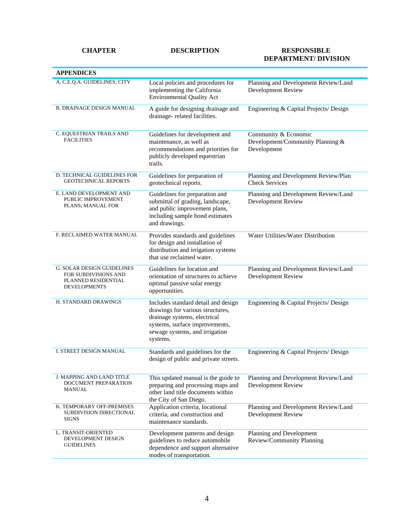#### **CHAPTER DESCRIPTION RESPONSIBLE**

# **DEPARTMENT/ DIVISION**

| <b>APPENDICES</b>                                                                                       |                                                                                                                                                                                         |                                                                         |
|---------------------------------------------------------------------------------------------------------|-----------------------------------------------------------------------------------------------------------------------------------------------------------------------------------------|-------------------------------------------------------------------------|
| A. C.E.Q.A. GUIDELINES; CITY                                                                            | Local policies and procedures for<br>implementing the California<br><b>Environmental Quality Act</b>                                                                                    | Planning and Development Review/Land<br>Development Review              |
| <b>B. DRAINAGE DESIGN MANUAL</b>                                                                        | A guide for designing drainage and<br>drainage-related facilities.                                                                                                                      | Engineering & Capital Projects/ Design                                  |
| C. EQUESTRIAN TRAILS AND<br><b>FACILITIES</b>                                                           | Guidelines for development and<br>maintenance, as well as<br>recommendations and priorities for<br>publicly developed equestrian<br>trails.                                             | Community & Economic<br>Development/Community Planning &<br>Development |
| D. TECHNICAL GUIDELINES FOR<br><b>GEOTECHNICAL REPORTS</b>                                              | Guidelines for preparation of<br>geotechnical reports.                                                                                                                                  | Planning and Development Review/Plan<br><b>Check Services</b>           |
| E. LAND DEVELOPMENT AND<br>PUBLIC IMPROVEMENT<br>PLANS; MANUAL FOR                                      | Guidelines for preparation and<br>submittal of grading, landscape,<br>and public improvement plans,<br>including sample bond estimates<br>and drawings.                                 | Planning and Development Review/Land<br><b>Development Review</b>       |
| F. RECLAIMED WATER MANUAL                                                                               | Provides standards and guidelines<br>for design and installation of<br>distribution and irrigation systems<br>that use reclaimed water.                                                 | Water Utilities/Water Distribution                                      |
| <b>G. SOLAR DESIGN GUIDELINES</b><br>FOR SUBDIVISIONS AND<br>PLANNED RESIDENTIAL<br><b>DEVELOPMENTS</b> | Guidelines for location and<br>orientation of structures to achieve<br>optimal passive solar energy<br>opportunities.                                                                   | Planning and Development Review/Land<br><b>Development Review</b>       |
| H. STANDARD DRAWINGS                                                                                    | Includes standard detail and design<br>drawings for various structures,<br>drainage systems, electrical<br>systems, surface improvements,<br>sewage systems, and irrigation<br>systems. | Engineering & Capital Projects/ Design                                  |
| I. STREET DESIGN MANUAL                                                                                 | Standards and guidelines for the<br>design of public and private streets.                                                                                                               | Engineering & Capital Projects/ Design                                  |
| J. MAPPING AND LAND TITLE<br>DOCUMENT PREPARATION<br>MANUAL                                             | This updated manual is the guide to<br>preparing and processing maps and<br>other land title documents within<br>the City of San Diego.                                                 | Planning and Development Review/Land<br>Development Review              |
| K. TEMPORARY OFF-PREMISES<br>SUBDIVISION DIRECTIONAL<br><b>SIGNS</b>                                    | Application criteria, locational<br>criteria, and construction and<br>maintenance standards.                                                                                            | Planning and Development Review/Land<br><b>Development Review</b>       |
| L. TRANSIT-ORIENTED<br>DEVELOPMENT DESIGN<br><b>GUIDELINES</b>                                          | Development patterns and design<br>guidelines to reduce automobile<br>dependence and support alternative<br>modes of transportation.                                                    | Planning and Development<br>Review/Community Planning                   |